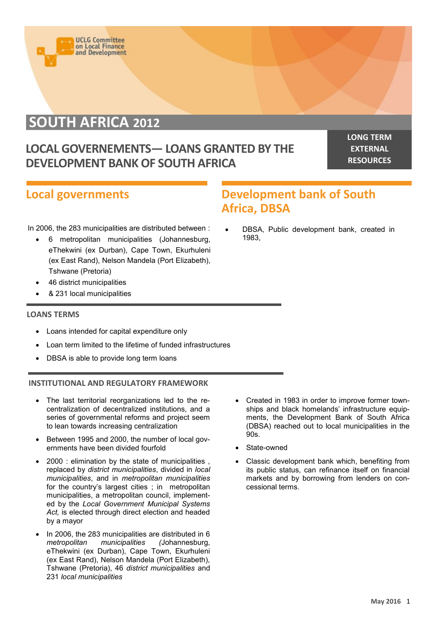

# **SOUTH AFRICA 2012**

# **LOCAL GOVERNEMENTS— LOANS GRANTED BY THE DEVELOPMENT BANK OF SOUTH AFRICA**

**LONG TERM EXTERNAL RESOURCES**

### **Local governments**

## **Development bank of South Africa, DBSA**

In 2006, the 283 municipalities are distributed between :

- 6 metropolitan municipalities (Johannesburg, eThekwini (ex Durban), Cape Town, Ekurhuleni (ex East Rand), Nelson Mandela (Port Elizabeth), Tshwane (Pretoria)
- 46 district municipalities
- & 231 local municipalities

#### **LOANS TERMS**

- Loans intended for capital expenditure only
- Loan term limited to the lifetime of funded infrastructures
- DBSA is able to provide long term loans

#### **INSTITUTIONAL AND REGULATORY FRAMEWORK**

- The last territorial reorganizations led to the recentralization of decentralized institutions, and a series of governmental reforms and project seem to lean towards increasing centralization
- Between 1995 and 2000, the number of local governments have been divided fourfold
- 2000 : elimination by the state of municipalities , replaced by *district municipalities*, divided in *local municipalities*, and in *metropolitan municipalities*  for the country's largest cities ; in metropolitan municipalities, a metropolitan council, implemented by the *Local Government Municipal Systems Act,* is elected through direct election and headed by a mayor
- In 2006, the 283 municipalities are distributed in 6 *metropolitan municipalities (*Johannesburg, eThekwini (ex Durban), Cape Town, Ekurhuleni (ex East Rand), Nelson Mandela (Port Elizabeth), Tshwane (Pretoria), 46 *district municipalities* and 231 *local municipalities*

 DBSA, Public development bank, created in 1983,

- Created in 1983 in order to improve former townships and black homelands' infrastructure equipments, the Development Bank of South Africa (DBSA) reached out to local municipalities in the 90s.
- State-owned
- Classic development bank which, benefiting from its public status, can refinance itself on financial markets and by borrowing from lenders on concessional terms.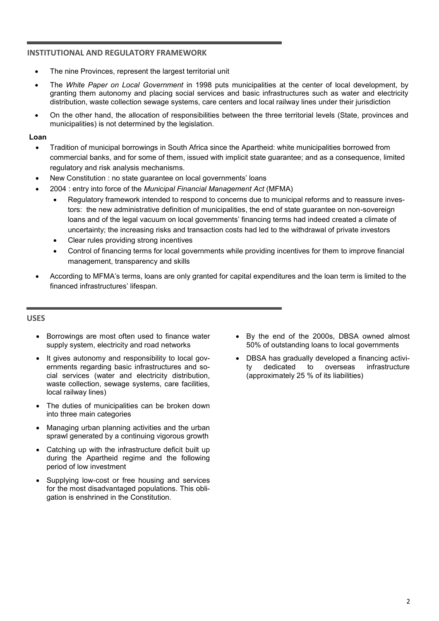#### **INSTITUTIONAL AND REGULATORY FRAMEWORK**

- The nine Provinces, represent the largest territorial unit
- The *White Paper on Local Government* in 1998 puts municipalities at the center of local development, by granting them autonomy and placing social services and basic infrastructures such as water and electricity distribution, waste collection sewage systems, care centers and local railway lines under their jurisdiction
- On the other hand, the allocation of responsibilities between the three territorial levels (State, provinces and municipalities) is not determined by the legislation.

#### **Loan**

- Tradition of municipal borrowings in South Africa since the Apartheid: white municipalities borrowed from commercial banks, and for some of them, issued with implicit state guarantee; and as a consequence, limited regulatory and risk analysis mechanisms.
- New Constitution : no state guarantee on local governments' loans
- 2004 : entry into force of the *Municipal Financial Management Act* (MFMA)
	- Regulatory framework intended to respond to concerns due to municipal reforms and to reassure investors: the new administrative definition of municipalities, the end of state guarantee on non-sovereign loans and of the legal vacuum on local governments' financing terms had indeed created a climate of uncertainty; the increasing risks and transaction costs had led to the withdrawal of private investors
	- Clear rules providing strong incentives
	- Control of financing terms for local governments while providing incentives for them to improve financial management, transparency and skills
- According to MFMA's terms, loans are only granted for capital expenditures and the loan term is limited to the financed infrastructures' lifespan.

#### **USES**

- Borrowings are most often used to finance water supply system, electricity and road networks
- It gives autonomy and responsibility to local governments regarding basic infrastructures and social services (water and electricity distribution, waste collection, sewage systems, care facilities, local railway lines)
- The duties of municipalities can be broken down into three main categories
- Managing urban planning activities and the urban sprawl generated by a continuing vigorous growth
- Catching up with the infrastructure deficit built up during the Apartheid regime and the following period of low investment
- Supplying low-cost or free housing and services for the most disadvantaged populations. This obligation is enshrined in the Constitution.
- By the end of the 2000s, DBSA owned almost 50% of outstanding loans to local governments
- DBSA has gradually developed a financing activity dedicated to overseas infrastructure (approximately 25 % of its liabilities)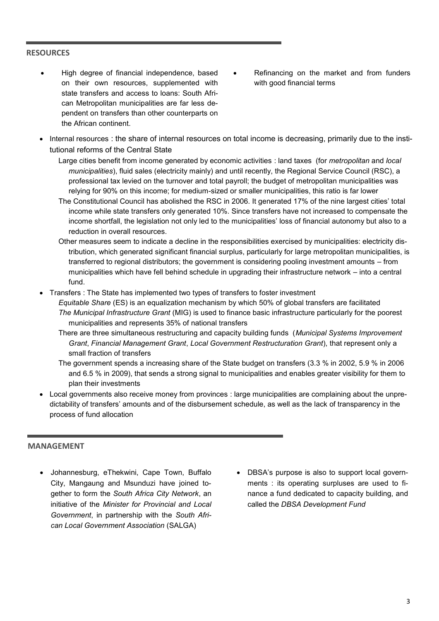#### **RESOURCES**

- High degree of financial independence, based on their own resources, supplemented with state transfers and access to loans: South African Metropolitan municipalities are far less dependent on transfers than other counterparts on the African continent.
- Refinancing on the market and from funders with good financial terms
- Internal resources : the share of internal resources on total income is decreasing, primarily due to the institutional reforms of the Central State
	- Large cities benefit from income generated by economic activities : land taxes (for *metropolitan* and *local municipalities*), fluid sales (electricity mainly) and until recently, the Regional Service Council (RSC), a professional tax levied on the turnover and total payroll; the budget of metropolitan municipalities was relying for 90% on this income; for medium-sized or smaller municipalities, this ratio is far lower
	- The Constitutional Council has abolished the RSC in 2006. It generated 17% of the nine largest cities' total income while state transfers only generated 10%. Since transfers have not increased to compensate the income shortfall, the legislation not only led to the municipalities' loss of financial autonomy but also to a reduction in overall resources.
	- Other measures seem to indicate a decline in the responsibilities exercised by municipalities: electricity distribution, which generated significant financial surplus, particularly for large metropolitan municipalities, is transferred to regional distributors; the government is considering pooling investment amounts – from municipalities which have fell behind schedule in upgrading their infrastructure network – into a central fund.
- Transfers : The State has implemented two types of transfers to foster investment
	- *Equitable Share* (ES) is an equalization mechanism by which 50% of global transfers are facilitated *The Municipal Infrastructure Grant* (MIG) is used to finance basic infrastructure particularly for the poorest municipalities and represents 35% of national transfers
		- There are three simultaneous restructuring and capacity building funds (*Municipal Systems Improvement Grant*, *Financial Management Grant*, *Local Government Restructuration Grant*), that represent only a small fraction of transfers
		- The government spends a increasing share of the State budget on transfers (3.3 % in 2002, 5.9 % in 2006 and 6.5 % in 2009), that sends a strong signal to municipalities and enables greater visibility for them to plan their investments
- Local governments also receive money from provinces : large municipalities are complaining about the unpredictability of transfers' amounts and of the disbursement schedule, as well as the lack of transparency in the process of fund allocation

#### **MANAGEMENT**

- Johannesburg, eThekwini, Cape Town, Buffalo City, Mangaung and Msunduzi have joined together to form the *South Africa City Network*, an initiative of the *Minister for Provincial and Local Government*, in partnership with the *South African Local Government Association* (SALGA)
- DBSA's purpose is also to support local governments : its operating surpluses are used to finance a fund dedicated to capacity building, and called the *DBSA Development Fund*